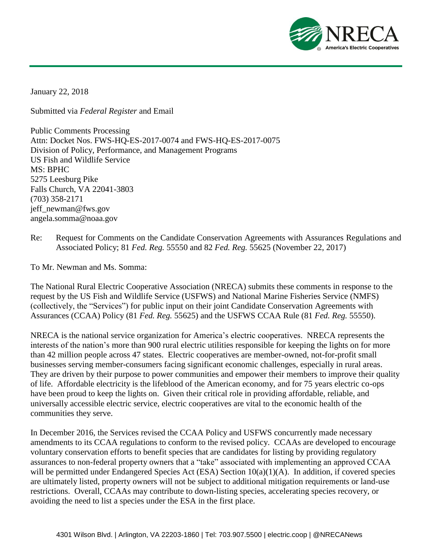

January 22, 2018

Submitted via *Federal Register* and Email

Public Comments Processing Attn: Docket Nos. FWS-HQ-ES-2017-0074 and FWS-HQ-ES-2017-0075 Division of Policy, Performance, and Management Programs US Fish and Wildlife Service MS: BPHC 5275 Leesburg Pike Falls Church, VA 22041-3803 (703) 358-2171 jeff\_newman@fws.gov angela.somma@noaa.gov

Re: Request for Comments on the Candidate Conservation Agreements with Assurances Regulations and Associated Policy; 81 *Fed. Reg.* 55550 and 82 *Fed. Reg.* 55625 (November 22, 2017)

To Mr. Newman and Ms. Somma:

The National Rural Electric Cooperative Association (NRECA) submits these comments in response to the request by the US Fish and Wildlife Service (USFWS) and National Marine Fisheries Service (NMFS) (collectively, the "Services") for public input on their joint Candidate Conservation Agreements with Assurances (CCAA) Policy (81 *Fed. Reg.* 55625) and the USFWS CCAA Rule (81 *Fed. Reg.* 55550).

NRECA is the national service organization for America's electric cooperatives. NRECA represents the interests of the nation's more than 900 rural electric utilities responsible for keeping the lights on for more than 42 million people across 47 states. Electric cooperatives are member-owned, not-for-profit small businesses serving member-consumers facing significant economic challenges, especially in rural areas. They are driven by their purpose to power communities and empower their members to improve their quality of life. Affordable electricity is the lifeblood of the American economy, and for 75 years electric co-ops have been proud to keep the lights on. Given their critical role in providing affordable, reliable, and universally accessible electric service, electric cooperatives are vital to the economic health of the communities they serve.

In December 2016, the Services revised the CCAA Policy and USFWS concurrently made necessary amendments to its CCAA regulations to conform to the revised policy. CCAAs are developed to encourage voluntary conservation efforts to benefit species that are candidates for listing by providing regulatory assurances to non-federal property owners that a "take" associated with implementing an approved CCAA will be permitted under Endangered Species Act (ESA) Section  $10(a)(1)(A)$ . In addition, if covered species are ultimately listed, property owners will not be subject to additional mitigation requirements or land-use restrictions. Overall, CCAAs may contribute to down-listing species, accelerating species recovery, or avoiding the need to list a species under the ESA in the first place.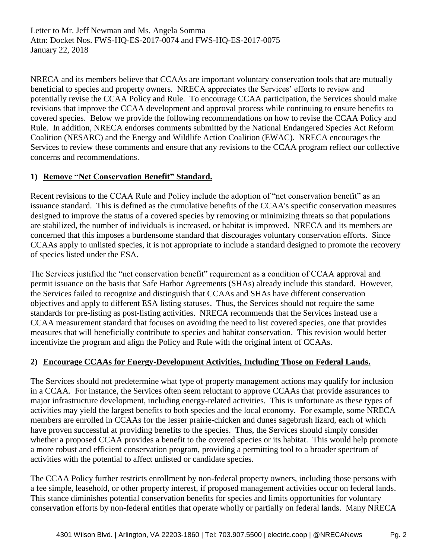Letter to Mr. Jeff Newman and Ms. Angela Somma Attn: Docket Nos. FWS-HQ-ES-2017-0074 and FWS-HQ-ES-2017-0075 January 22, 2018

NRECA and its members believe that CCAAs are important voluntary conservation tools that are mutually beneficial to species and property owners. NRECA appreciates the Services' efforts to review and potentially revise the CCAA Policy and Rule. To encourage CCAA participation, the Services should make revisions that improve the CCAA development and approval process while continuing to ensure benefits to covered species. Below we provide the following recommendations on how to revise the CCAA Policy and Rule. In addition, NRECA endorses comments submitted by the National Endangered Species Act Reform Coalition (NESARC) and the Energy and Wildlife Action Coalition (EWAC). NRECA encourages the Services to review these comments and ensure that any revisions to the CCAA program reflect our collective concerns and recommendations.

## **1) Remove "Net Conservation Benefit" Standard.**

Recent revisions to the CCAA Rule and Policy include the adoption of "net conservation benefit" as an issuance standard. This is defined as the cumulative benefits of the CCAA's specific conservation measures designed to improve the status of a covered species by removing or minimizing threats so that populations are stabilized, the number of individuals is increased, or habitat is improved. NRECA and its members are concerned that this imposes a burdensome standard that discourages voluntary conservation efforts. Since CCAAs apply to unlisted species, it is not appropriate to include a standard designed to promote the recovery of species listed under the ESA.

The Services justified the "net conservation benefit" requirement as a condition of CCAA approval and permit issuance on the basis that Safe Harbor Agreements (SHAs) already include this standard. However, the Services failed to recognize and distinguish that CCAAs and SHAs have different conservation objectives and apply to different ESA listing statuses. Thus, the Services should not require the same standards for pre-listing as post-listing activities. NRECA recommends that the Services instead use a CCAA measurement standard that focuses on avoiding the need to list covered species, one that provides measures that will beneficially contribute to species and habitat conservation. This revision would better incentivize the program and align the Policy and Rule with the original intent of CCAAs.

## **2) Encourage CCAAs for Energy-Development Activities, Including Those on Federal Lands.**

The Services should not predetermine what type of property management actions may qualify for inclusion in a CCAA. For instance, the Services often seem reluctant to approve CCAAs that provide assurances to major infrastructure development, including energy-related activities. This is unfortunate as these types of activities may yield the largest benefits to both species and the local economy. For example, some NRECA members are enrolled in CCAAs for the lesser prairie-chicken and dunes sagebrush lizard, each of which have proven successful at providing benefits to the species. Thus, the Services should simply consider whether a proposed CCAA provides a benefit to the covered species or its habitat. This would help promote a more robust and efficient conservation program, providing a permitting tool to a broader spectrum of activities with the potential to affect unlisted or candidate species.

The CCAA Policy further restricts enrollment by non-federal property owners, including those persons with a fee simple, leasehold, or other property interest, if proposed management activities occur on federal lands. This stance diminishes potential conservation benefits for species and limits opportunities for voluntary conservation efforts by non-federal entities that operate wholly or partially on federal lands. Many NRECA